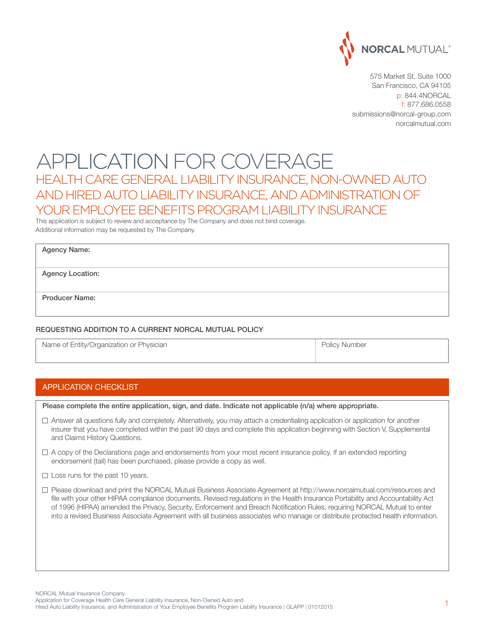

575 Market St, Suite 1000 San Francisco, CA 94105 p: 844.4NORCAL f: 877.686.0558 submissions@norcal-group.com norcalmutual.com

# APPLICATION FOR COVERAGE Health Care General Liability Insurance, Non-Owned Auto and Hired Auto Liability Insurance, and Administrationof YOUR EMPLOYEE BENEFITS PROGRAM LIABILITY INSURANCE

This application is subject to review and acceptance by The Company and does not bind coverage. Additional information may be requested by The Company.

| <b>Agency Name:</b> |  |
|---------------------|--|
|---------------------|--|

Agency Location:

Producer Name:

#### Requesting Addition to a Current NORCAL Mutual Policy

Name of Entity/Organization or Physician **Provides and Contact Automobile Policy Number** Policy Number

#### APPLICATION CHECKLIST

Please complete the entire application, sign, and date. Indicate not applicable (n/a) where appropriate.

- $\Box$  Answer all questions fully and completely. Alternatively, you may attach a credentialing application or application for another insurer that you have completed within the past 90 days and complete this application beginning with Section V, Supplemental and Claims History Questions.
- $\Box$  A copy of the Declarations page and endorsements from your most recent insurance policy. If an extended reporting endorsement (tail) has been purchased, please provide a copy as well.
- $\Box$  Loss runs for the past 10 years.
- Please download and print the NORCAL Mutual Business Associate Agreement at http://www.norcalmutual.com/resources and file with your other HIPAA compliance documents. Revised regulations in the Health Insurance Portability and Accountability Act of 1996 (HIPAA) amended the Privacy, Security, Enforcement and Breach Notification Rules, requiring NORCAL Mutual to enter into a revised Business Associate Agreement with all business associates who manage or distribute protected health information.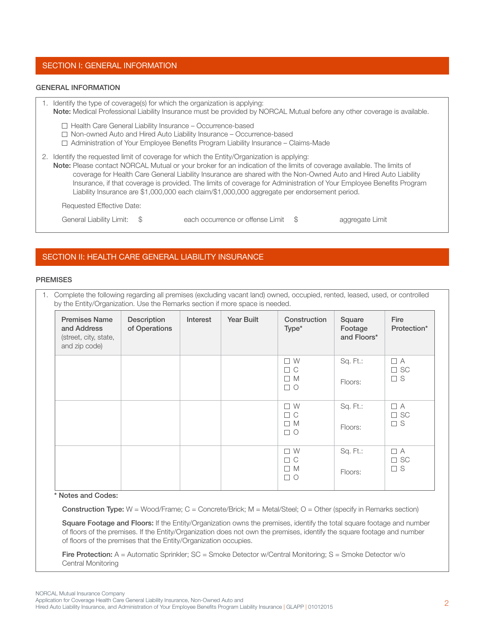### Section i: general INFORMATION

#### GENERAL INFORMATION

| 1. Identify the type of coverage(s) for which the organization is applying:<br>Note: Medical Professional Liability Insurance must be provided by NORCAL Mutual before any other coverage is available.                                                                                                                                                                                                                                                                                                                                                          |
|------------------------------------------------------------------------------------------------------------------------------------------------------------------------------------------------------------------------------------------------------------------------------------------------------------------------------------------------------------------------------------------------------------------------------------------------------------------------------------------------------------------------------------------------------------------|
| $\Box$ Health Care General Liability Insurance – Occurrence-based<br>$\Box$ Non-owned Auto and Hired Auto Liability Insurance - Occurrence-based<br>$\Box$ Administration of Your Employee Benefits Program Liability Insurance – Claims-Made                                                                                                                                                                                                                                                                                                                    |
| 2. Identify the requested limit of coverage for which the Entity/Organization is applying:<br>Note: Please contact NORCAL Mutual or your broker for an indication of the limits of coverage available. The limits of<br>coverage for Health Care General Liability Insurance are shared with the Non-Owned Auto and Hired Auto Liability<br>Insurance, if that coverage is provided. The limits of coverage for Administration of Your Employee Benefits Program<br>Liability Insurance are \$1,000,000 each claim/\$1,000,000 aggregate per endorsement period. |

Requested Effective Date:

General Liability Limit:  $\quad \, \$$  each occurrence or offense Limit  $\, \, \$$  aggregate Limit

### SECTION II: HEALTH CARE GENERAL LIABILITY INSURANCE

#### **PREMISES**

1. Complete the following regarding all premises (excluding vacant land) owned, occupied, rented, leased, used, or controlled by the Entity/Organization. Use the Remarks section if more space is needed.

| <b>Premises Name</b><br>and Address<br>(street, city, state,<br>and zip code) | Description<br>of Operations | Interest | Year Built | Construction<br>Type*                                  | Square<br>Footage<br>and Floors* | Fire<br>Protection*                  |
|-------------------------------------------------------------------------------|------------------------------|----------|------------|--------------------------------------------------------|----------------------------------|--------------------------------------|
|                                                                               |                              |          |            | $\square$<br><br>W<br>$\Box$ C<br>$\Box$ M<br>$\Box$ O | Sq. Ft.:<br>Floors:              | $\Box$ A<br>$\square$ SC<br>$\Box$ S |
|                                                                               |                              |          |            | $\square$ W<br>$\Box$ C<br>$\Box$ M<br>$\Box$ O        | Sq. Ft.:<br>Floors:              | $\Box$ A<br>$\square$ SC<br>$\Box$ S |
|                                                                               |                              |          |            | $\square$<br><br>W<br>$\Box$ C<br>$\Box$ M<br>$\Box$ O | Sq. Ft.:<br>Floors:              | $\Box$ A<br>$\Box$ SC<br>$\Box$ S    |

#### \* Notes and Codes:

Construction Type: W = Wood/Frame; C = Concrete/Brick; M = Metal/Steel; O = Other (specify in Remarks section)

Square Footage and Floors: If the Entity/Organization owns the premises, identify the total square footage and number of floors of the premises. If the Entity/Organization does not own the premises, identify the square footage and number of floors of the premises that the Entity/Organization occupies.

Fire Protection: A = Automatic Sprinkler; SC = Smoke Detector w/Central Monitoring; S = Smoke Detector w/o Central Monitoring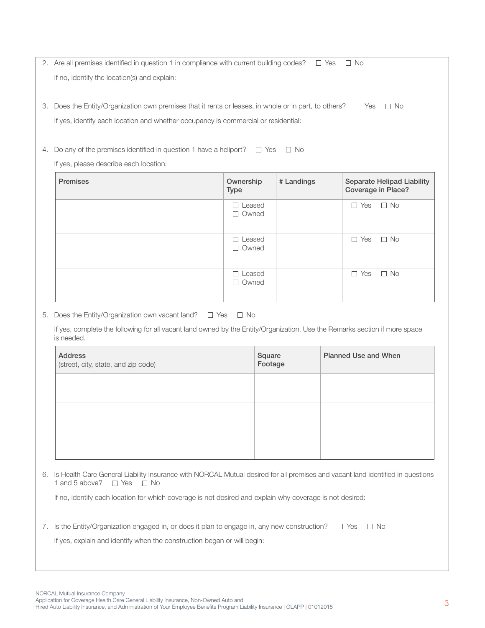2. Are all premises identified in question 1 in compliance with current building codes?  $\Box$  Yes  $\Box$  No If no, identify the location(s) and explain:

3. Does the Entity/Organization own premises that it rents or leases, in whole or in part, to others?  $\square$  Yes  $\square$  No If yes, identify each location and whether occupancy is commercial or residential:

4. Do any of the premises identified in question 1 have a heliport?  $\Box$  Yes  $\Box$  No

If yes, please describe each location:

| <b>Premises</b> | Ownership<br><b>Type</b>      | # Landings | <b>Separate Helipad Liability</b><br>Coverage in Place? |
|-----------------|-------------------------------|------------|---------------------------------------------------------|
|                 | $\Box$ Leased<br>$\Box$ Owned |            | $\Box$ No<br>$\Box$ Yes                                 |
|                 | $\Box$ Leased<br>$\Box$ Owned |            | $\Box$ No<br>$\Box$ Yes                                 |
|                 | $\Box$ Leased<br>$\Box$ Owned |            | $\Box$ No<br>$\Box$ Yes                                 |

5. Does the Entity/Organization own vacant land?  $\square$  Yes  $\square$  No

 If yes, complete the following for all vacant land owned by the Entity/Organization. Use the Remarks section if more space is needed.

| Address<br>(street, city, state, and zip code) | Square<br>Footage | Planned Use and When |
|------------------------------------------------|-------------------|----------------------|
|                                                |                   |                      |
|                                                |                   |                      |
|                                                |                   |                      |

6. Is Health Care General Liability Insurance with NORCAL Mutual desired for all premises and vacant land identified in questions 1 and 5 above?  $\Box$  Yes  $\Box$  No

If no, identify each location for which coverage is not desired and explain why coverage is not desired:

7. Is the Entity/Organization engaged in, or does it plan to engage in, any new construction?  $\square$  Yes  $\square$  No

If yes, explain and identify when the construction began or will begin: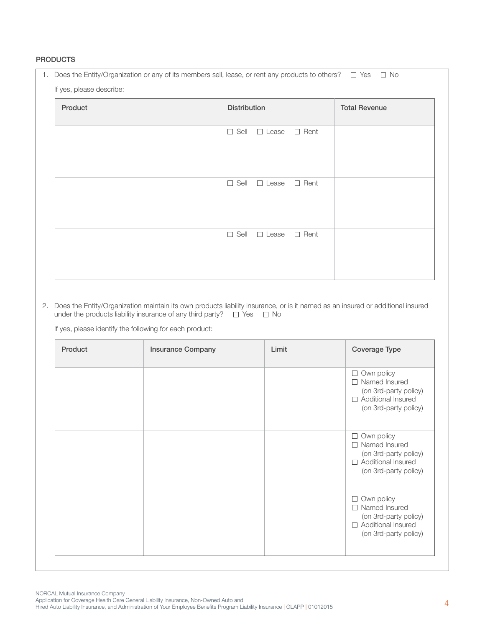## **PRODUCTS**

| 1. Does the Entity/Organization or any of its members sell, lease, or rent any products to others? $\Box$ Yes $\Box$ No |                                             |  |  |  |
|-------------------------------------------------------------------------------------------------------------------------|---------------------------------------------|--|--|--|
| If yes, please describe:                                                                                                |                                             |  |  |  |
| Product                                                                                                                 | <b>Distribution</b><br><b>Total Revenue</b> |  |  |  |
|                                                                                                                         | $\Box$ Sell<br>$\Box$ Rent<br>$\Box$ Lease  |  |  |  |
|                                                                                                                         | $\Box$ Sell<br>$\Box$ Rent<br>$\Box$ Lease  |  |  |  |
|                                                                                                                         | $\Box$ Sell<br>$\Box$ Lease<br>$\Box$ Rent  |  |  |  |

2. Does the Entity/Organization maintain its own products liability insurance, or is it named as an insured or additional insured under the products liability insurance of any third party?  $\square$  Yes  $\square$  No

If yes, please identify the following for each product:

| Product | <b>Insurance Company</b> | Limit | Coverage Type                                                                                                                     |
|---------|--------------------------|-------|-----------------------------------------------------------------------------------------------------------------------------------|
|         |                          |       | Own policy<br>$\Box$<br>Named Insured<br>$\Box$<br>(on 3rd-party policy)<br>Additional Insured<br>$\Box$<br>(on 3rd-party policy) |
|         |                          |       | Own policy<br>$\Box$<br>Named Insured<br>$\Box$<br>(on 3rd-party policy)<br>Additional Insured<br>$\Box$<br>(on 3rd-party policy) |
|         |                          |       | Own policy<br>$\Box$<br>Named Insured<br>П<br>(on 3rd-party policy)<br>Additional Insured<br>$\Box$<br>(on 3rd-party policy)      |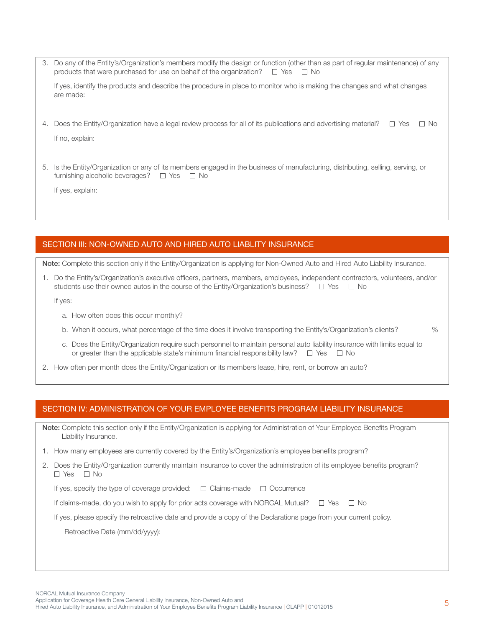- 3. Do any of the Entity's/Organization's members modify the design or function (other than as part of regular maintenance) of any products that were purchased for use on behalf of the organization?  $\Box$  Yes  $\Box$  No If yes, identify the products and describe the procedure in place to monitor who is making the changes and what changes are made:
- 4. Does the Entity/Organization have a legal review process for all of its publications and advertising material?  $\square$  Yes  $\square$  No

If no, explain:

5. Is the Entity/Organization or any of its members engaged in the business of manufacturing, distributing, selling, serving, or furnishing alcoholic beverages?  $\Box$  Yes  $\Box$  No

If yes, explain:

# SECTION III: NON-OWNED AUTO AND HIRED AUTO LIABLITY INSURANCE

Note: Complete this section only if the Entity/Organization is applying for Non-Owned Auto and Hired Auto Liability Insurance.

1. Do the Entity's/Organization's executive officers, partners, members, employees, independent contractors, volunteers, and/or students use their owned autos in the course of the Entity/Organization's business?  $\square$  Yes  $\square$  No

If yes:

- a. How often does this occur monthly?
- b. When it occurs, what percentage of the time does it involve transporting the Entity's/Organization's clients?  $\%$ 
	-
- c. Does the Entity/Organization require such personnel to maintain personal auto liability insurance with limits equal to or greater than the applicable state's minimum financial responsibility law?  $\square$  Yes  $\square$  No
- 2. How often per month does the Entity/Organization or its members lease, hire, rent, or borrow an auto?

#### Section iV: ADMINISTRATION OF YOUR EMPLOYEE BENEFITS PROGRAM LIABILITY INSURANCE

Note: Complete this section only if the Entity/Organization is applying for Administration of Your Employee Benefits Program Liability Insurance.

- 1. How many employees are currently covered by the Entity's/Organization's employee benefits program?
- 2. Does the Entity/Organization currently maintain insurance to cover the administration of its employee benefits program?  $\Box$  Yes  $\Box$  No

| If yes, specify the type of coverage provided: | $\Box$ Claims-made $\Box$ Occurrence |  |
|------------------------------------------------|--------------------------------------|--|
|------------------------------------------------|--------------------------------------|--|

If claims-made, do you wish to apply for prior acts coverage with NORCAL Mutual?  $\square$  Yes  $\square$  No

If yes, please specify the retroactive date and provide a copy of the Declarations page from your current policy.

Retroactive Date (mm/dd/yyyy):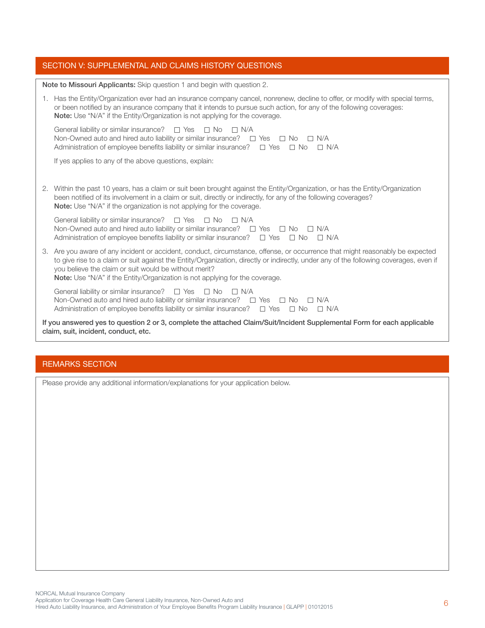## SECTION V: SUPPLEMENTAL AND CLAIMS HISTORY QUESTIONS

Note to Missouri Applicants: Skip question 1 and begin with question 2.

1. Has the Entity/Organization ever had an insurance company cancel, nonrenew, decline to offer, or modify with special terms, or been notified by an insurance company that it intends to pursue such action, for any of the following coverages: Note: Use "N/A" if the Entity/Organization is not applying for the coverage. General liability or similar insurance?  $\square$  Yes  $\square$  No  $\square$  N/A Non-Owned auto and hired auto liability or similar insurance?  $\square$  Yes  $\square$  No  $\square$  N/A Administration of employee benefits liability or similar insurance?  $\Box$  Yes  $\Box$  No  $\Box$  N/A If yes applies to any of the above questions, explain: 2. Within the past 10 years, has a claim or suit been brought against the Entity/Organization, or has the Entity/Organization been notified of its involvement in a claim or suit, directly or indirectly, for any of the following coverages? Note: Use "N/A" if the organization is not applying for the coverage. General liability or similar insurance?  $\Box$  Yes  $\Box$  No  $\Box$  N/A Non-Owned auto and hired auto liability or similar insurance?  $\Box$  Yes  $\Box$  No  $\Box$  N/A Administration of employee benefits liability or similar insurance?  $\Box$  Yes  $\Box$  No  $\Box$  N/A 3. Are you aware of any incident or accident, conduct, circumstance, offense, or occurrence that might reasonably be expected to give rise to a claim or suit against the Entity/Organization, directly or indirectly, under any of the following coverages, even if you believe the claim or suit would be without merit? Note: Use "N/A" if the Entity/Organization is not applying for the coverage. General liability or similar insurance?  $\square$  Yes  $\square$  No  $\square$  N/A Non-Owned auto and hired auto liability or similar insurance?  $\square$  Yes  $\square$  No  $\square$  N/A Administration of employee benefits liability or similar insurance?  $\square$  Yes  $\square$  No  $\square$  N/A If you answered yes to question 2 or 3, complete the attached Claim/Suit/Incident Supplemental Form for each applicable claim, suit, incident, conduct, etc.

# REMARKS SECTION

Please provide any additional information/explanations for your application below.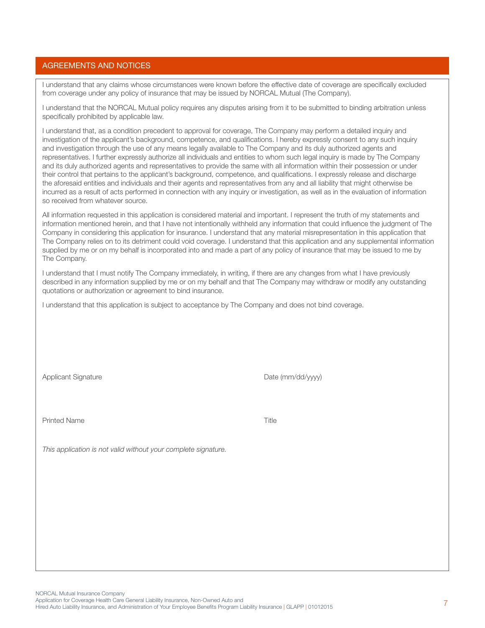## Agreements and Notices

I understand that any claims whose circumstances were known before the effective date of coverage are specifically excluded from coverage under any policy of insurance that may be issued by NORCAL Mutual (The Company).

I understand that the NORCAL Mutual policy requires any disputes arising from it to be submitted to binding arbitration unless specifically prohibited by applicable law.

I understand that, as a condition precedent to approval for coverage, The Company may perform a detailed inquiry and investigation of the applicant's background, competence, and qualifications. I hereby expressly consent to any such inquiry and investigation through the use of any means legally available to The Company and its duly authorized agents and representatives. I further expressly authorize all individuals and entities to whom such legal inquiry is made by The Company and its duly authorized agents and representatives to provide the same with all information within their possession or under their control that pertains to the applicant's background, competence, and qualifications. I expressly release and discharge the aforesaid entities and individuals and their agents and representatives from any and all liability that might otherwise be incurred as a result of acts performed in connection with any inquiry or investigation, as well as in the evaluation of information so received from whatever source.

All information requested in this application is considered material and important. I represent the truth of my statements and information mentioned herein, and that I have not intentionally withheld any information that could influence the judgment of The Company in considering this application for insurance. I understand that any material misrepresentation in this application that The Company relies on to its detriment could void coverage. I understand that this application and any supplemental information supplied by me or on my behalf is incorporated into and made a part of any policy of insurance that may be issued to me by The Company.

I understand that I must notify The Company immediately, in writing, if there are any changes from what I have previously described in any information supplied by me or on my behalf and that The Company may withdraw or modify any outstanding quotations or authorization or agreement to bind insurance.

I understand that this application is subject to acceptance by The Company and does not bind coverage.

Applicant Signature **Date (mm/dd/yyyy)** 

Printed Name Title

*This application is not valid without your complete signature.*